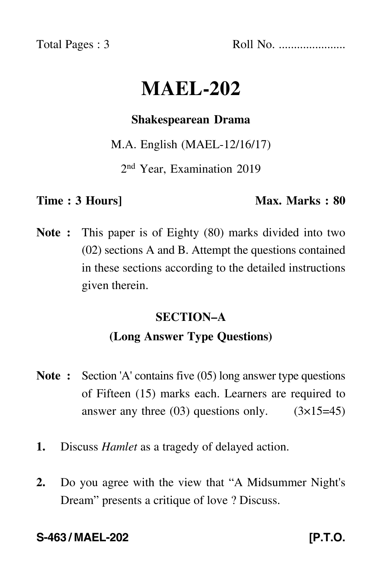Total Pages : 3 Roll No. ......................

# **MAEL-202**

#### **Shakespearean Drama**

M.A. English (MAEL-12/16/17)

2nd Year, Examination 2019

#### **Time : 3 Hours]** Max. Marks : 80

**Note :** This paper is of Eighty (80) marks divided into two (02) sections A and B. Attempt the questions contained in these sections according to the detailed instructions given therein.

## **SECTION–A (Long Answer Type Questions)**

- **Note :** Section 'A' contains five (05) long answer type questions of Fifteen (15) marks each. Learners are required to answer any three  $(03)$  questions only.  $(3\times15=45)$
- **1.** Discuss *Hamlet* as a tragedy of delayed action.
- **2.** Do you agree with the view that "A Midsummer Night's Dream" presents a critique of love ? Discuss.

#### **S-463 / MAEL-202 [P.T.O.**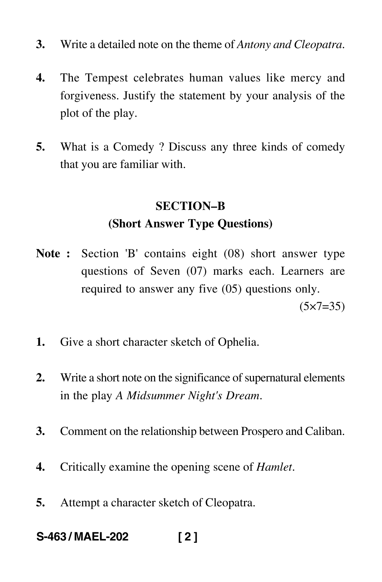- **3.** Write a detailed note on the theme of *Antony and Cleopatra*.
- **4.** The Tempest celebrates human values like mercy and forgiveness. Justify the statement by your analysis of the plot of the play.
- **5.** What is a Comedy ? Discuss any three kinds of comedy that you are familiar with.

### **SECTION–B (Short Answer Type Questions)**

- **Note :** Section 'B' contains eight (08) short answer type questions of Seven (07) marks each. Learners are required to answer any five (05) questions only.  $(5 \times 7 = 35)$
- **1.** Give a short character sketch of Ophelia.
- **2.** Write a short note on the significance of supernatural elements in the play *A Midsummer Night's Dream*.
- **3.** Comment on the relationship between Prospero and Caliban.
- **4.** Critically examine the opening scene of *Hamlet*.
- **5.** Attempt a character sketch of Cleopatra.
- **S-463 / MAEL-202 [ 2 ]**